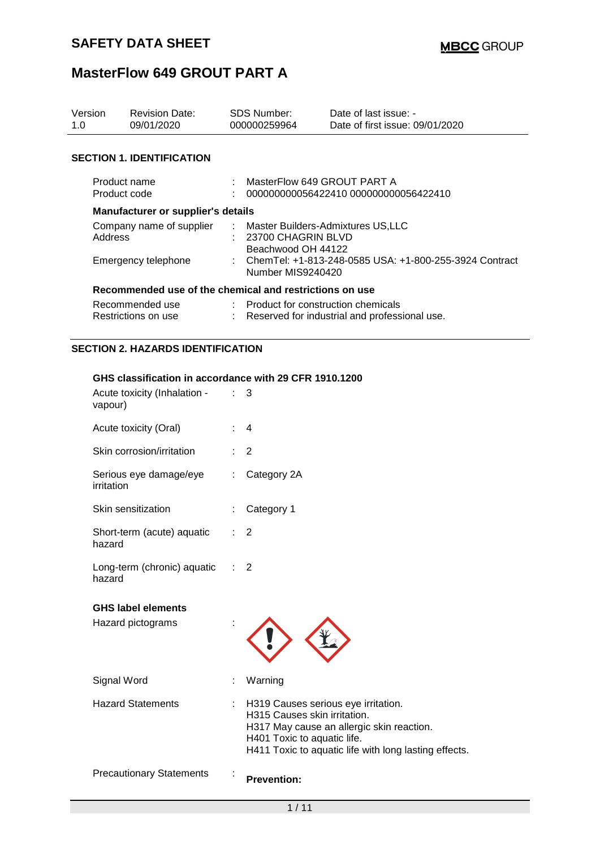| Version<br>1.0                                          | <b>Revision Date:</b><br>09/01/2020       |                                                                                   | <b>SDS Number:</b><br>000000259964                                            | Date of last issue: -<br>Date of first issue: 09/01/2020 |  |
|---------------------------------------------------------|-------------------------------------------|-----------------------------------------------------------------------------------|-------------------------------------------------------------------------------|----------------------------------------------------------|--|
|                                                         | <b>SECTION 1. IDENTIFICATION</b>          |                                                                                   |                                                                               |                                                          |  |
| Product name<br>Product code                            |                                           |                                                                                   | MasterFlow 649 GROUT PART A                                                   | 000000000056422410 000000000056422410                    |  |
|                                                         | <b>Manufacturer or supplier's details</b> |                                                                                   |                                                                               |                                                          |  |
| Company name of supplier<br>Address                     |                                           | : Master Builders-Admixtures US,LLC<br>: 23700 CHAGRIN BLVD<br>Beachwood OH 44122 |                                                                               |                                                          |  |
| Emergency telephone                                     |                                           |                                                                                   | : ChemTel: +1-813-248-0585 USA: +1-800-255-3924 Contract<br>Number MIS9240420 |                                                          |  |
| Recommended use of the chemical and restrictions on use |                                           |                                                                                   |                                                                               |                                                          |  |
|                                                         | Recommended use<br>Restrictions on use    |                                                                                   | : Product for construction chemicals                                          | Reserved for industrial and professional use.            |  |

### **SECTION 2. HAZARDS IDENTIFICATION**

### **GHS classification in accordance with 29 CFR 1910.1200**

| Acute toxicity (Inhalation -<br>vapour)        | 3                                                                                                                                                                                                              |  |
|------------------------------------------------|----------------------------------------------------------------------------------------------------------------------------------------------------------------------------------------------------------------|--|
| Acute toxicity (Oral)                          | $\overline{4}$                                                                                                                                                                                                 |  |
| Skin corrosion/irritation                      | $\overline{2}$                                                                                                                                                                                                 |  |
| Serious eye damage/eye<br>irritation           | Category 2A                                                                                                                                                                                                    |  |
| Skin sensitization                             | Category 1                                                                                                                                                                                                     |  |
| Short-term (acute) aquatic<br>hazard           | $\overline{2}$                                                                                                                                                                                                 |  |
| Long-term (chronic) aquatic<br>hazard          | $\overline{2}$                                                                                                                                                                                                 |  |
|                                                |                                                                                                                                                                                                                |  |
| <b>GHS label elements</b><br>Hazard pictograms |                                                                                                                                                                                                                |  |
| Signal Word                                    | Warning                                                                                                                                                                                                        |  |
| <b>Hazard Statements</b>                       | H319 Causes serious eye irritation.<br>t.<br>H315 Causes skin irritation.<br>H317 May cause an allergic skin reaction.<br>H401 Toxic to aquatic life.<br>H411 Toxic to aquatic life with long lasting effects. |  |
| <b>Precautionary Statements</b>                | <b>Prevention:</b>                                                                                                                                                                                             |  |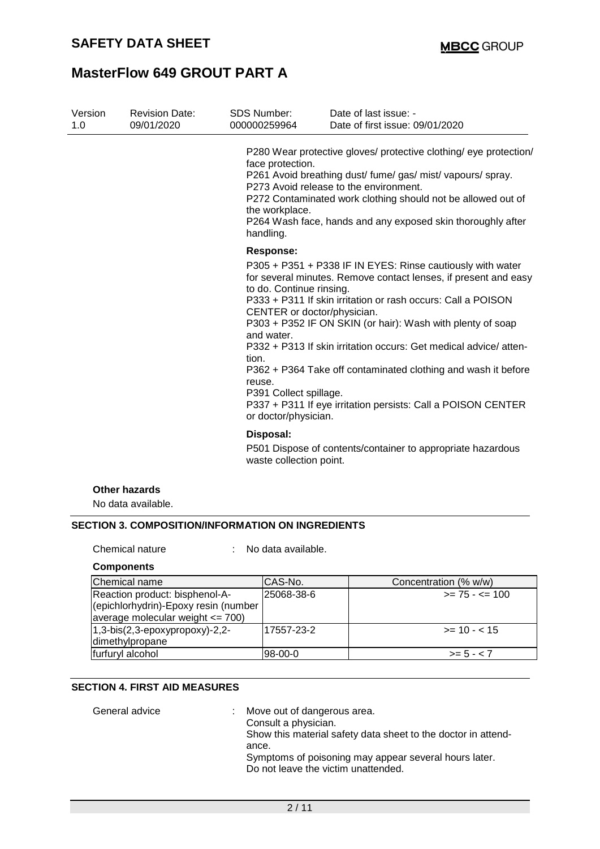| Version<br>1.0 | <b>Revision Date:</b><br>09/01/2020 | <b>SDS Number:</b><br>000000259964                                                                                                         | Date of last issue: -<br>Date of first issue: 09/01/2020                                                                                                                                                                                                                                                                                                                                                                                                         |
|----------------|-------------------------------------|--------------------------------------------------------------------------------------------------------------------------------------------|------------------------------------------------------------------------------------------------------------------------------------------------------------------------------------------------------------------------------------------------------------------------------------------------------------------------------------------------------------------------------------------------------------------------------------------------------------------|
|                |                                     | face protection.<br>the workplace.<br>handling.                                                                                            | P280 Wear protective gloves/ protective clothing/ eye protection/<br>P261 Avoid breathing dust/ fume/ gas/ mist/ vapours/ spray.<br>P273 Avoid release to the environment.<br>P272 Contaminated work clothing should not be allowed out of<br>P264 Wash face, hands and any exposed skin thoroughly after                                                                                                                                                        |
|                |                                     | <b>Response:</b>                                                                                                                           |                                                                                                                                                                                                                                                                                                                                                                                                                                                                  |
|                |                                     | to do. Continue rinsing.<br>CENTER or doctor/physician.<br>and water.<br>tion.<br>reuse.<br>P391 Collect spillage.<br>or doctor/physician. | P305 + P351 + P338 IF IN EYES: Rinse cautiously with water<br>for several minutes. Remove contact lenses, if present and easy<br>P333 + P311 If skin irritation or rash occurs: Call a POISON<br>P303 + P352 IF ON SKIN (or hair): Wash with plenty of soap<br>P332 + P313 If skin irritation occurs: Get medical advice/atten-<br>P362 + P364 Take off contaminated clothing and wash it before<br>P337 + P311 If eye irritation persists: Call a POISON CENTER |
|                |                                     | Disposal:                                                                                                                                  |                                                                                                                                                                                                                                                                                                                                                                                                                                                                  |
|                | waste collection point.             |                                                                                                                                            | P501 Dispose of contents/container to appropriate hazardous                                                                                                                                                                                                                                                                                                                                                                                                      |
|                | <b>Other hazards</b>                |                                                                                                                                            |                                                                                                                                                                                                                                                                                                                                                                                                                                                                  |
|                | No data available.                  |                                                                                                                                            |                                                                                                                                                                                                                                                                                                                                                                                                                                                                  |

### **SECTION 3. COMPOSITION/INFORMATION ON INGREDIENTS**

Chemical nature : No data available.

### **Components**

| Chemical name                             | CAS-No.    | Concentration (% w/w) |
|-------------------------------------------|------------|-----------------------|
| Reaction product: bisphenol-A-            | 25068-38-6 | $>= 75 - 5 = 100$     |
| (epichlorhydrin)-Epoxy resin (number      |            |                       |
| average molecular weight $\leq$ 700)      |            |                       |
| $ 1,3-b$ is $(2,3-ep$ oxypropoxy $)-2,2-$ | 17557-23-2 | $\ge$ = 10 - < 15     |
| dimethylpropane                           |            |                       |
| furfuryl alcohol                          | 98-00-0    | $>= 5 - < 7$          |

### **SECTION 4. FIRST AID MEASURES**

| General advice | Move out of dangerous area.<br>Consult a physician.<br>Show this material safety data sheet to the doctor in attend-<br>ance.<br>Symptoms of poisoning may appear several hours later. |
|----------------|----------------------------------------------------------------------------------------------------------------------------------------------------------------------------------------|
|                | Do not leave the victim unattended.                                                                                                                                                    |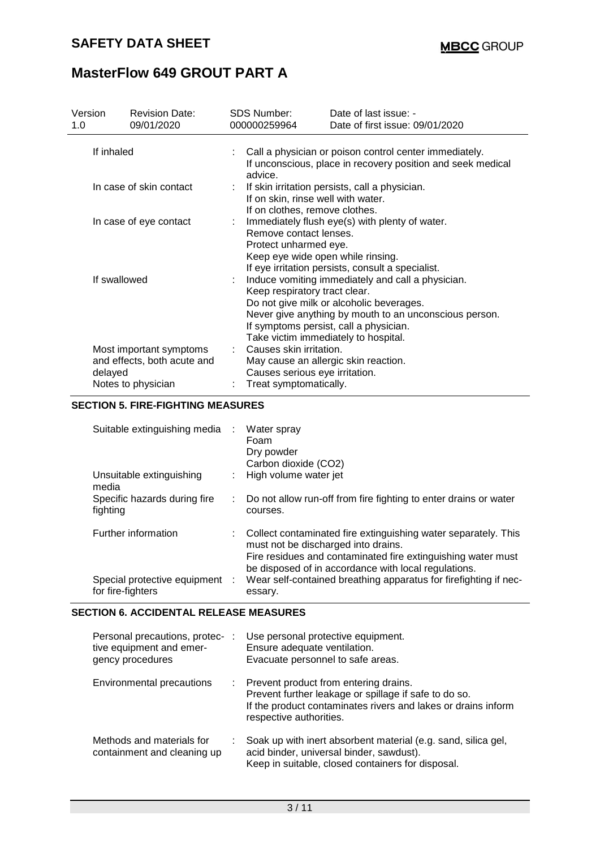| Version<br>1.0          |         | <b>Revision Date:</b><br>09/01/2020                                                                                                                                                                                                                                        | <b>SDS Number:</b><br>000000259964                                                                                          | Date of last issue: -<br>Date of first issue: 09/01/2020                                            |  |  |
|-------------------------|---------|----------------------------------------------------------------------------------------------------------------------------------------------------------------------------------------------------------------------------------------------------------------------------|-----------------------------------------------------------------------------------------------------------------------------|-----------------------------------------------------------------------------------------------------|--|--|
| If inhaled              |         | Call a physician or poison control center immediately.<br>If unconscious, place in recovery position and seek medical<br>advice.                                                                                                                                           |                                                                                                                             |                                                                                                     |  |  |
| In case of skin contact |         | If skin irritation persists, call a physician.<br>If on skin, rinse well with water.<br>If on clothes, remove clothes.                                                                                                                                                     |                                                                                                                             |                                                                                                     |  |  |
| In case of eye contact  |         |                                                                                                                                                                                                                                                                            | Remove contact lenses.<br>Protect unharmed eye.<br>Keep eye wide open while rinsing.                                        | Immediately flush eye(s) with plenty of water.<br>If eye irritation persists, consult a specialist. |  |  |
| If swallowed            |         | Induce vomiting immediately and call a physician.<br>Keep respiratory tract clear.<br>Do not give milk or alcoholic beverages.<br>Never give anything by mouth to an unconscious person.<br>If symptoms persist, call a physician.<br>Take victim immediately to hospital. |                                                                                                                             |                                                                                                     |  |  |
|                         | delayed | Most important symptoms<br>and effects, both acute and<br>Notes to physician                                                                                                                                                                                               | Causes skin irritation.<br>May cause an allergic skin reaction.<br>Causes serious eye irritation.<br>Treat symptomatically. |                                                                                                     |  |  |

### **SECTION 5. FIRE-FIGHTING MEASURES**

| Suitable extinguishing media                        | Water spray<br>Foam<br>Dry powder<br>Carbon dioxide (CO2)                                                                                                                                                                       |
|-----------------------------------------------------|---------------------------------------------------------------------------------------------------------------------------------------------------------------------------------------------------------------------------------|
| Unsuitable extinguishing<br>media                   | High volume water jet                                                                                                                                                                                                           |
| Specific hazards during fire<br>fighting            | Do not allow run-off from fire fighting to enter drains or water<br>courses.                                                                                                                                                    |
| Further information                                 | : Collect contaminated fire extinguishing water separately. This<br>must not be discharged into drains.<br>Fire residues and contaminated fire extinguishing water must<br>be disposed of in accordance with local regulations. |
| Special protective equipment :<br>for fire-fighters | Wear self-contained breathing apparatus for firefighting if nec-<br>essary.                                                                                                                                                     |

#### **SECTION 6. ACCIDENTAL RELEASE MEASURES**

| Personal precautions, protec- :<br>tive equipment and emer-<br>gency procedures |    | Use personal protective equipment.<br>Ensure adequate ventilation.<br>Evacuate personnel to safe areas.                                                                                    |
|---------------------------------------------------------------------------------|----|--------------------------------------------------------------------------------------------------------------------------------------------------------------------------------------------|
| Environmental precautions                                                       | ÷. | Prevent product from entering drains.<br>Prevent further leakage or spillage if safe to do so.<br>If the product contaminates rivers and lakes or drains inform<br>respective authorities. |
| Methods and materials for<br>containment and cleaning up                        |    | Soak up with inert absorbent material (e.g. sand, silica gel,<br>acid binder, universal binder, sawdust).<br>Keep in suitable, closed containers for disposal.                             |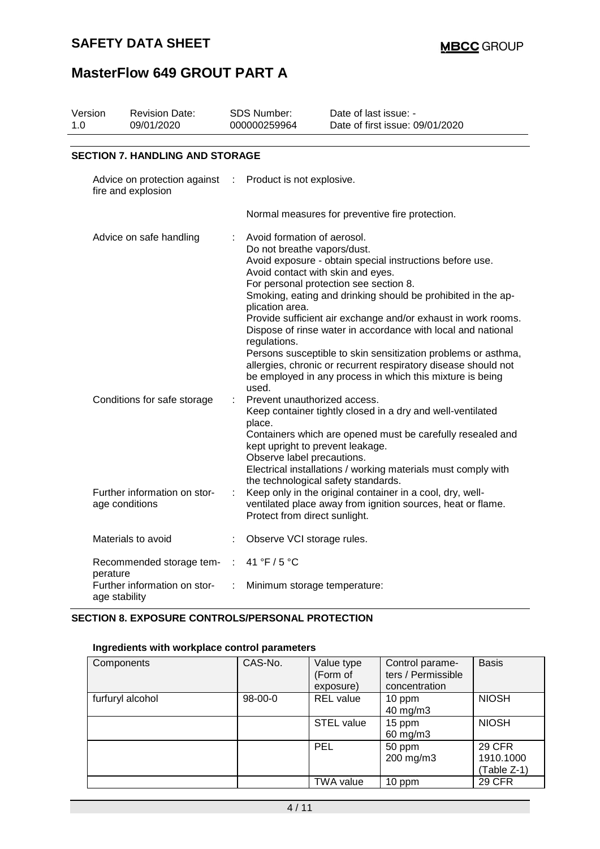## **SAFETY DATA SHEET**

# **MasterFlow 649 GROUT PART A**

| Version<br>1.0 | <b>Revision Date:</b><br>09/01/2020                       | SDS Number:<br>000000259964                                                                            | Date of last issue: -<br>Date of first issue: 09/01/2020                                                                                                                                                                                                                                                                                                                                                                                                                                                                                 |
|----------------|-----------------------------------------------------------|--------------------------------------------------------------------------------------------------------|------------------------------------------------------------------------------------------------------------------------------------------------------------------------------------------------------------------------------------------------------------------------------------------------------------------------------------------------------------------------------------------------------------------------------------------------------------------------------------------------------------------------------------------|
|                |                                                           |                                                                                                        |                                                                                                                                                                                                                                                                                                                                                                                                                                                                                                                                          |
|                | <b>SECTION 7. HANDLING AND STORAGE</b>                    |                                                                                                        |                                                                                                                                                                                                                                                                                                                                                                                                                                                                                                                                          |
|                | Advice on protection against<br>fire and explosion        | Product is not explosive.                                                                              |                                                                                                                                                                                                                                                                                                                                                                                                                                                                                                                                          |
|                |                                                           |                                                                                                        | Normal measures for preventive fire protection.                                                                                                                                                                                                                                                                                                                                                                                                                                                                                          |
|                | Advice on safe handling                                   | Avoid formation of aerosol.<br>Do not breathe vapors/dust.<br>plication area.<br>regulations.<br>used. | Avoid exposure - obtain special instructions before use.<br>Avoid contact with skin and eyes.<br>For personal protection see section 8.<br>Smoking, eating and drinking should be prohibited in the ap-<br>Provide sufficient air exchange and/or exhaust in work rooms.<br>Dispose of rinse water in accordance with local and national<br>Persons susceptible to skin sensitization problems or asthma,<br>allergies, chronic or recurrent respiratory disease should not<br>be employed in any process in which this mixture is being |
|                | Conditions for safe storage                               | Prevent unauthorized access.<br>place.<br>Observe label precautions.                                   | Keep container tightly closed in a dry and well-ventilated<br>Containers which are opened must be carefully resealed and<br>kept upright to prevent leakage.<br>Electrical installations / working materials must comply with                                                                                                                                                                                                                                                                                                            |
|                | Further information on stor-<br>age conditions            | Protect from direct sunlight.                                                                          | the technological safety standards.<br>Keep only in the original container in a cool, dry, well-<br>ventilated place away from ignition sources, heat or flame.                                                                                                                                                                                                                                                                                                                                                                          |
|                | Materials to avoid                                        | Observe VCI storage rules.                                                                             |                                                                                                                                                                                                                                                                                                                                                                                                                                                                                                                                          |
|                | Recommended storage tem-                                  | 41 °F / 5 °C<br>÷.                                                                                     |                                                                                                                                                                                                                                                                                                                                                                                                                                                                                                                                          |
|                | perature<br>Further information on stor-<br>age stability | Minimum storage temperature:<br>÷                                                                      |                                                                                                                                                                                                                                                                                                                                                                                                                                                                                                                                          |

### **SECTION 8. EXPOSURE CONTROLS/PERSONAL PROTECTION**

### **Ingredients with workplace control parameters**

| Components       | CAS-No. | Value type<br>(Form of<br>exposure) | Control parame-<br>ters / Permissible<br>concentration | <b>Basis</b>                              |
|------------------|---------|-------------------------------------|--------------------------------------------------------|-------------------------------------------|
| furfuryl alcohol | 98-00-0 | <b>REL</b> value                    | 10 ppm<br>40 mg/m3                                     | <b>NIOSH</b>                              |
|                  |         | <b>STEL value</b>                   | 15 ppm<br>60 mg/m3                                     | <b>NIOSH</b>                              |
|                  |         | <b>PEL</b>                          | 50 ppm<br>200 mg/m3                                    | <b>29 CFR</b><br>1910.1000<br>(Table Z-1) |
|                  |         | TWA value                           | 10 ppm                                                 | <b>29 CFR</b>                             |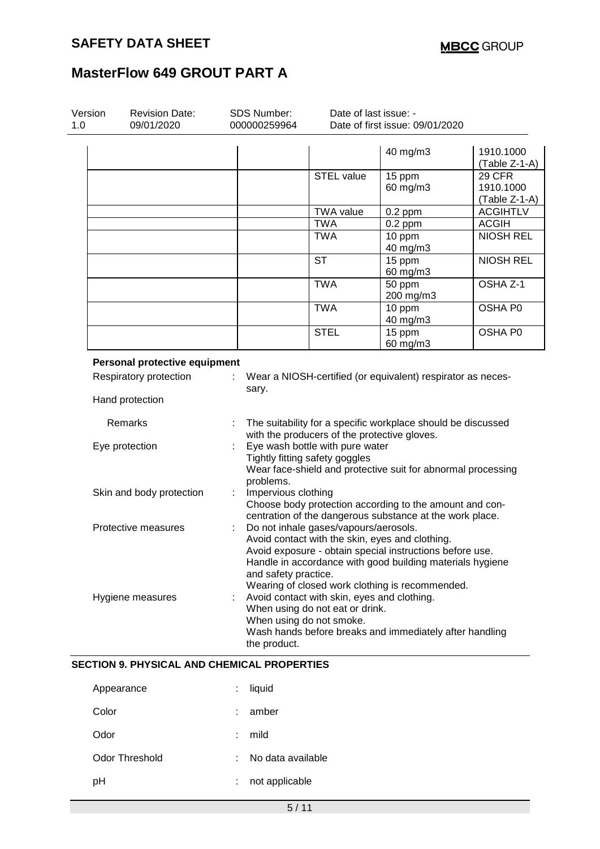| Version<br>1.0 | <b>Revision Date:</b><br>09/01/2020                |    | SDS Number:<br>000000259964                                                                                                                                                                                                                                                                                                                              | Date of last issue: -<br>Date of first issue: 09/01/2020 |                                                              |                                             |
|----------------|----------------------------------------------------|----|----------------------------------------------------------------------------------------------------------------------------------------------------------------------------------------------------------------------------------------------------------------------------------------------------------------------------------------------------------|----------------------------------------------------------|--------------------------------------------------------------|---------------------------------------------|
|                |                                                    |    |                                                                                                                                                                                                                                                                                                                                                          |                                                          | 40 mg/m3                                                     | 1910.1000<br>(Table Z-1-A)                  |
|                |                                                    |    |                                                                                                                                                                                                                                                                                                                                                          | <b>STEL value</b>                                        | 15 ppm<br>60 mg/m3                                           | <b>29 CFR</b><br>1910.1000<br>(Table Z-1-A) |
|                |                                                    |    |                                                                                                                                                                                                                                                                                                                                                          | <b>TWA</b> value                                         | $0.2$ ppm                                                    | <b>ACGIHTLV</b>                             |
|                |                                                    |    |                                                                                                                                                                                                                                                                                                                                                          | <b>TWA</b>                                               | $0.2$ ppm                                                    | <b>ACGIH</b>                                |
|                |                                                    |    |                                                                                                                                                                                                                                                                                                                                                          | <b>TWA</b>                                               | 10 ppm<br>40 mg/m3                                           | <b>NIOSH REL</b>                            |
|                |                                                    |    |                                                                                                                                                                                                                                                                                                                                                          | <b>ST</b>                                                | 15 ppm<br>60 mg/m3                                           | <b>NIOSH REL</b>                            |
|                |                                                    |    |                                                                                                                                                                                                                                                                                                                                                          | <b>TWA</b>                                               | 50 ppm<br>200 mg/m3                                          | OSHA Z-1                                    |
|                |                                                    |    |                                                                                                                                                                                                                                                                                                                                                          | <b>TWA</b>                                               | 10 ppm<br>40 mg/m3                                           | OSHA P0                                     |
|                |                                                    |    |                                                                                                                                                                                                                                                                                                                                                          | <b>STEL</b>                                              | 15 ppm<br>60 mg/m3                                           | OSHA P0                                     |
|                | Personal protective equipment                      |    |                                                                                                                                                                                                                                                                                                                                                          |                                                          |                                                              |                                             |
|                | Respiratory protection                             |    | sary.                                                                                                                                                                                                                                                                                                                                                    |                                                          | Wear a NIOSH-certified (or equivalent) respirator as neces-  |                                             |
|                | Hand protection                                    |    |                                                                                                                                                                                                                                                                                                                                                          |                                                          |                                                              |                                             |
|                | Remarks                                            |    |                                                                                                                                                                                                                                                                                                                                                          | with the producers of the protective gloves.             | The suitability for a specific workplace should be discussed |                                             |
|                | Eye protection                                     |    | Eye wash bottle with pure water<br>Tightly fitting safety goggles<br>Wear face-shield and protective suit for abnormal processing<br>problems.                                                                                                                                                                                                           |                                                          |                                                              |                                             |
|                | Skin and body protection                           | ÷. | Impervious clothing                                                                                                                                                                                                                                                                                                                                      |                                                          | Choose body protection according to the amount and con-      |                                             |
|                | Protective measures                                |    | centration of the dangerous substance at the work place.<br>Do not inhale gases/vapours/aerosols.<br>Avoid contact with the skin, eyes and clothing.<br>Avoid exposure - obtain special instructions before use.<br>Handle in accordance with good building materials hygiene<br>and safety practice.<br>Wearing of closed work clothing is recommended. |                                                          |                                                              |                                             |
|                | Hygiene measures                                   |    | Avoid contact with skin, eyes and clothing.<br>When using do not eat or drink.<br>When using do not smoke.<br>Wash hands before breaks and immediately after handling<br>the product.                                                                                                                                                                    |                                                          |                                                              |                                             |
|                | <b>SECTION 9. PHYSICAL AND CHEMICAL PROPERTIES</b> |    |                                                                                                                                                                                                                                                                                                                                                          |                                                          |                                                              |                                             |
|                | Appearance                                         |    | liquid                                                                                                                                                                                                                                                                                                                                                   |                                                          |                                                              |                                             |
|                | Color                                              |    | amber                                                                                                                                                                                                                                                                                                                                                    |                                                          |                                                              |                                             |

- Odor : mild
- Odor Threshold : No data available
- pH : not applicable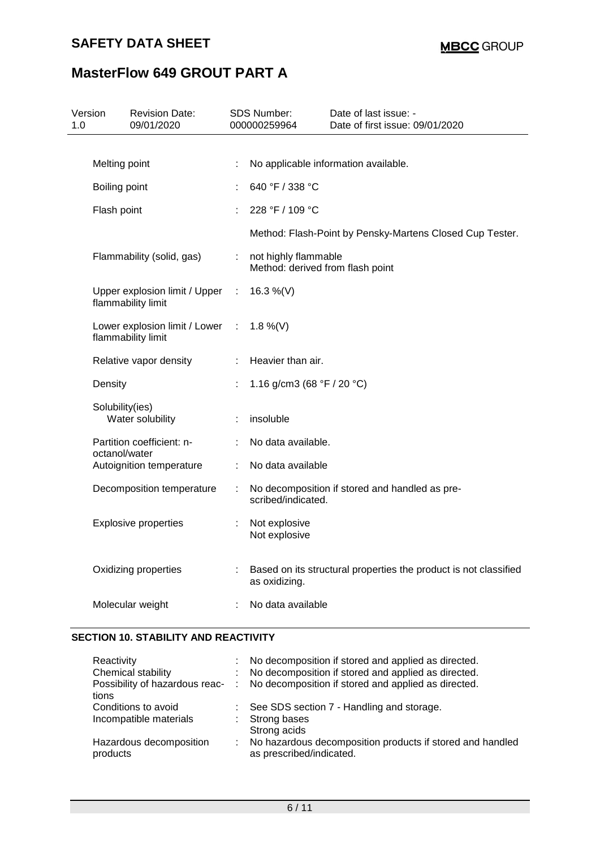## **SAFETY DATA SHEET**

# **MasterFlow 649 GROUT PART A**

| Version<br>1.0 | <b>Revision Date:</b><br>09/01/2020                 |                                                                            | <b>SDS Number:</b><br>000000259964                       | Date of last issue: -<br>Date of first issue: 09/01/2020         |
|----------------|-----------------------------------------------------|----------------------------------------------------------------------------|----------------------------------------------------------|------------------------------------------------------------------|
|                |                                                     |                                                                            |                                                          |                                                                  |
|                | Melting point                                       |                                                                            |                                                          | No applicable information available.                             |
|                | Boiling point                                       |                                                                            | 640 °F / 338 °C                                          |                                                                  |
| Flash point    |                                                     |                                                                            | 228 °F / 109 °C                                          |                                                                  |
|                |                                                     |                                                                            |                                                          | Method: Flash-Point by Pensky-Martens Closed Cup Tester.         |
|                | Flammability (solid, gas)                           | ÷.                                                                         | not highly flammable<br>Method: derived from flash point |                                                                  |
|                | Upper explosion limit / Upper<br>flammability limit | ÷                                                                          | 16.3 %(V)                                                |                                                                  |
|                | Lower explosion limit / Lower<br>flammability limit | ÷                                                                          | 1.8 %(V)                                                 |                                                                  |
|                | Relative vapor density                              | ÷                                                                          | Heavier than air.                                        |                                                                  |
|                | Density                                             |                                                                            | 1.16 g/cm3 (68 $\degree$ F / 20 $\degree$ C)             |                                                                  |
|                | Solubility(ies)<br>Water solubility                 |                                                                            | insoluble                                                |                                                                  |
|                | Partition coefficient: n-                           |                                                                            | No data available.                                       |                                                                  |
|                | octanol/water<br>Autoignition temperature           | ÷.                                                                         | No data available                                        |                                                                  |
|                | Decomposition temperature                           | No decomposition if stored and handled as pre-<br>÷.<br>scribed/indicated. |                                                          |                                                                  |
|                | <b>Explosive properties</b>                         |                                                                            | Not explosive<br>Not explosive                           |                                                                  |
|                | Oxidizing properties                                |                                                                            | as oxidizing.                                            | Based on its structural properties the product is not classified |
|                | Molecular weight                                    |                                                                            | No data available                                        |                                                                  |

### **SECTION 10. STABILITY AND REACTIVITY**

| Reactivity<br>Chemical stability<br>Possibility of hazardous reac- : | t.<br>t. | No decomposition if stored and applied as directed.<br>No decomposition if stored and applied as directed.<br>No decomposition if stored and applied as directed. |
|----------------------------------------------------------------------|----------|-------------------------------------------------------------------------------------------------------------------------------------------------------------------|
| tions                                                                |          |                                                                                                                                                                   |
| Conditions to avoid                                                  |          | $\therefore$ See SDS section 7 - Handling and storage.                                                                                                            |
| Incompatible materials                                               |          | : Strong bases                                                                                                                                                    |
|                                                                      |          | Strong acids                                                                                                                                                      |
| Hazardous decomposition<br>products                                  | t.       | No hazardous decomposition products if stored and handled<br>as prescribed/indicated.                                                                             |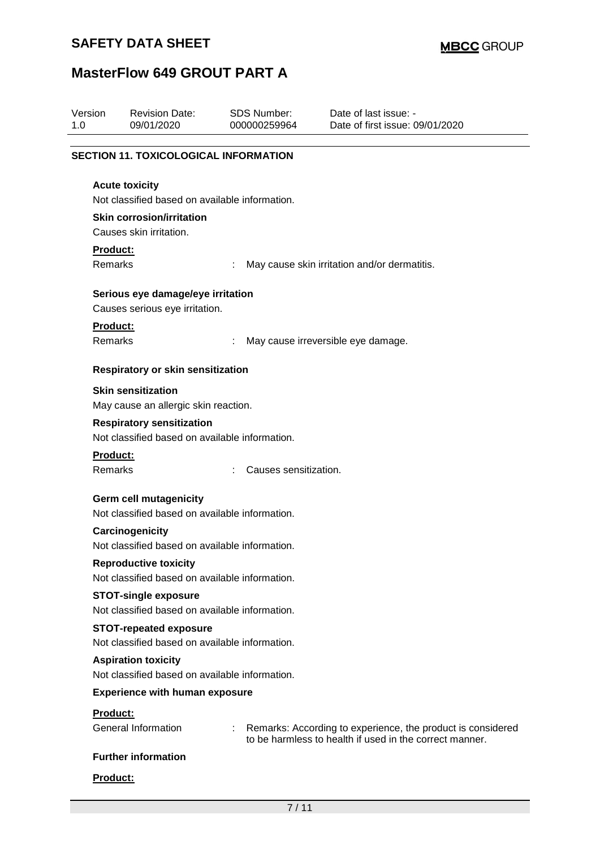| Version<br>1.0 |                                                                                 | <b>Revision Date:</b><br>09/01/2020                                                | <b>SDS Number:</b><br>000000259964 | Date of last issue: -<br>Date of first issue: 09/01/2020                                                               |  |  |
|----------------|---------------------------------------------------------------------------------|------------------------------------------------------------------------------------|------------------------------------|------------------------------------------------------------------------------------------------------------------------|--|--|
|                |                                                                                 | <b>SECTION 11. TOXICOLOGICAL INFORMATION</b>                                       |                                    |                                                                                                                        |  |  |
|                |                                                                                 | <b>Acute toxicity</b><br>Not classified based on available information.            |                                    |                                                                                                                        |  |  |
|                |                                                                                 | <b>Skin corrosion/irritation</b><br>Causes skin irritation.                        |                                    |                                                                                                                        |  |  |
|                | Product:<br><b>Remarks</b><br>May cause skin irritation and/or dermatitis.      |                                                                                    |                                    |                                                                                                                        |  |  |
|                |                                                                                 | Serious eye damage/eye irritation<br>Causes serious eye irritation.                |                                    |                                                                                                                        |  |  |
|                | Product:<br>Remarks                                                             |                                                                                    |                                    | May cause irreversible eye damage.                                                                                     |  |  |
|                |                                                                                 | <b>Respiratory or skin sensitization</b>                                           |                                    |                                                                                                                        |  |  |
|                |                                                                                 | <b>Skin sensitization</b><br>May cause an allergic skin reaction.                  |                                    |                                                                                                                        |  |  |
|                |                                                                                 | <b>Respiratory sensitization</b><br>Not classified based on available information. |                                    |                                                                                                                        |  |  |
|                | Product:<br>Remarks                                                             |                                                                                    | Causes sensitization.              |                                                                                                                        |  |  |
|                |                                                                                 | <b>Germ cell mutagenicity</b><br>Not classified based on available information.    |                                    |                                                                                                                        |  |  |
|                |                                                                                 | Carcinogenicity<br>Not classified based on available information.                  |                                    |                                                                                                                        |  |  |
|                | <b>Reproductive toxicity</b><br>Not classified based on available information.  |                                                                                    |                                    |                                                                                                                        |  |  |
|                |                                                                                 | <b>STOT-single exposure</b><br>Not classified based on available information.      |                                    |                                                                                                                        |  |  |
|                | <b>STOT-repeated exposure</b><br>Not classified based on available information. |                                                                                    |                                    |                                                                                                                        |  |  |
|                | <b>Aspiration toxicity</b><br>Not classified based on available information.    |                                                                                    |                                    |                                                                                                                        |  |  |
|                |                                                                                 | <b>Experience with human exposure</b>                                              |                                    |                                                                                                                        |  |  |
|                | Product:                                                                        | <b>General Information</b>                                                         | ÷                                  | Remarks: According to experience, the product is considered<br>to be harmless to health if used in the correct manner. |  |  |
|                |                                                                                 | <b>Further information</b>                                                         |                                    |                                                                                                                        |  |  |
|                | Product:                                                                        |                                                                                    |                                    |                                                                                                                        |  |  |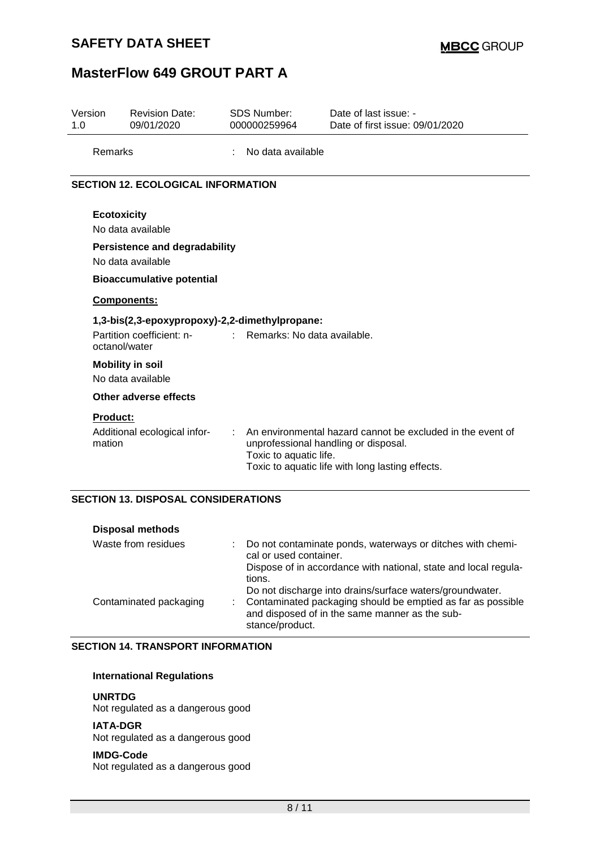### **SAFETY DATA SHEET**

# **MasterFlow 649 GROUT PART A**

| Version<br>1.0 | <b>Revision Date:</b><br>09/01/2020                                                                  |  | <b>SDS Number:</b><br>000000259964                             | Date of last issue: -<br>Date of first issue: 09/01/2020                                                       |  |  |
|----------------|------------------------------------------------------------------------------------------------------|--|----------------------------------------------------------------|----------------------------------------------------------------------------------------------------------------|--|--|
|                | Remarks                                                                                              |  | No data available                                              |                                                                                                                |  |  |
|                | <b>SECTION 12. ECOLOGICAL INFORMATION</b>                                                            |  |                                                                |                                                                                                                |  |  |
|                | <b>Ecotoxicity</b><br>No data available<br><b>Persistence and degradability</b><br>No data available |  |                                                                |                                                                                                                |  |  |
|                | <b>Bioaccumulative potential</b>                                                                     |  |                                                                |                                                                                                                |  |  |
|                | <b>Components:</b>                                                                                   |  |                                                                |                                                                                                                |  |  |
|                | 1,3-bis(2,3-epoxypropoxy)-2,2-dimethylpropane:                                                       |  |                                                                |                                                                                                                |  |  |
|                | Partition coefficient: n-<br>octanol/water                                                           |  | Remarks: No data available.                                    |                                                                                                                |  |  |
|                | <b>Mobility in soil</b><br>No data available                                                         |  |                                                                |                                                                                                                |  |  |
|                | Other adverse effects                                                                                |  |                                                                |                                                                                                                |  |  |
|                | <b>Product:</b><br>Additional ecological infor-<br>mation                                            |  | unprofessional handling or disposal.<br>Toxic to aquatic life. | An environmental hazard cannot be excluded in the event of<br>Toxic to aquatic life with long lasting effects. |  |  |

### **SECTION 13. DISPOSAL CONSIDERATIONS**

| <b>Disposal methods</b> |                |                                                                                                                                       |
|-------------------------|----------------|---------------------------------------------------------------------------------------------------------------------------------------|
| Waste from residues     |                | Do not contaminate ponds, waterways or ditches with chemi-<br>cal or used container.                                                  |
|                         |                | Dispose of in accordance with national, state and local regula-<br>tions.<br>Do not discharge into drains/surface waters/groundwater. |
| Contaminated packaging  | $\mathbb{R}^n$ | Contaminated packaging should be emptied as far as possible<br>and disposed of in the same manner as the sub-<br>stance/product.      |

### **SECTION 14. TRANSPORT INFORMATION**

#### **International Regulations**

#### **UNRTDG**

Not regulated as a dangerous good

#### **IATA-DGR**

Not regulated as a dangerous good

#### **IMDG-Code**

Not regulated as a dangerous good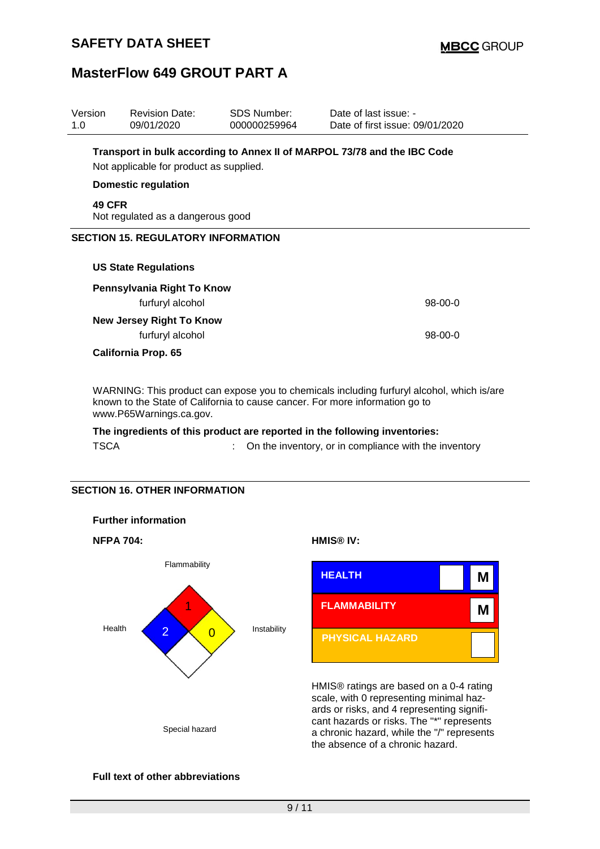**d**

## **MasterFlow 649 GROUT PART A**

| Version<br>1.0                            | <b>Revision Date:</b><br>09/01/2020                                                                                 | <b>SDS Number:</b><br>000000259964 | Date of last issue: -<br>Date of first issue: 09/01/2020 |  |  |  |  |
|-------------------------------------------|---------------------------------------------------------------------------------------------------------------------|------------------------------------|----------------------------------------------------------|--|--|--|--|
|                                           | Transport in bulk according to Annex II of MARPOL 73/78 and the IBC Code<br>Not applicable for product as supplied. |                                    |                                                          |  |  |  |  |
|                                           | <b>Domestic regulation</b>                                                                                          |                                    |                                                          |  |  |  |  |
|                                           | <b>49 CFR</b><br>Not regulated as a dangerous good                                                                  |                                    |                                                          |  |  |  |  |
| <b>SECTION 15. REGULATORY INFORMATION</b> |                                                                                                                     |                                    |                                                          |  |  |  |  |
|                                           | <b>US State Regulations</b>                                                                                         |                                    |                                                          |  |  |  |  |
| Pennsylvania Right To Know                |                                                                                                                     |                                    |                                                          |  |  |  |  |
|                                           | $98 - 00 - 0$<br>furfuryl alcohol                                                                                   |                                    |                                                          |  |  |  |  |
| <b>New Jersey Right To Know</b>           |                                                                                                                     |                                    |                                                          |  |  |  |  |
|                                           | furfuryl alcohol<br>$98-00-0$                                                                                       |                                    |                                                          |  |  |  |  |
| <b>California Prop. 65</b>                |                                                                                                                     |                                    |                                                          |  |  |  |  |

WARNING: This product can expose you to chemicals including furfuryl alcohol, which is/are known to the State of California to cause cancer. For more information go to www.P65Warnings.ca.gov.

### **The ingredients of this product are reported in the following inventories:** TSCA : On the inventory, or in compliance with the inventory

#### **SECTION 16. OTHER INFORMATION**



#### **Full text of other abbreviations**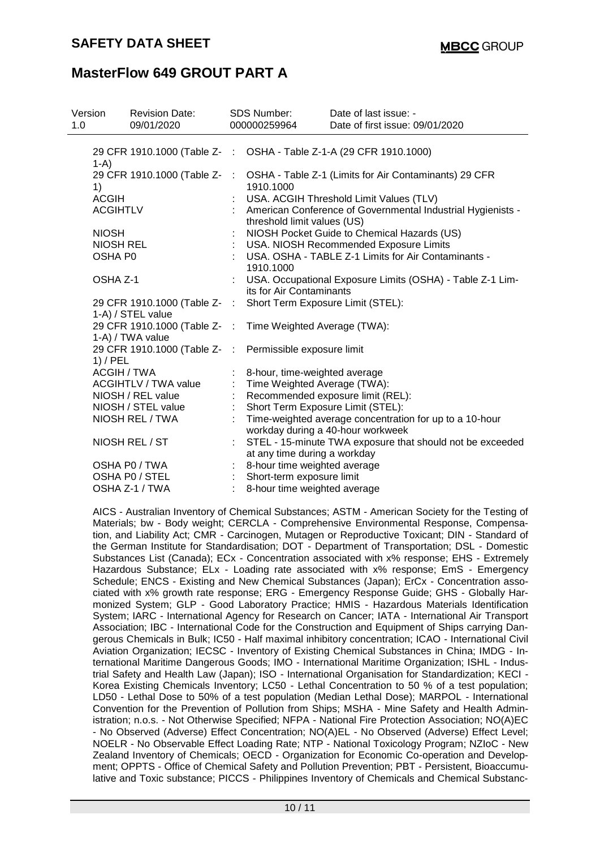| Version<br>1.0     | <b>Revision Date:</b><br>09/01/2020               |               | <b>SDS Number:</b><br>000000259964                                                         | Date of last issue: -<br>Date of first issue: 09/01/2020  |  |
|--------------------|---------------------------------------------------|---------------|--------------------------------------------------------------------------------------------|-----------------------------------------------------------|--|
| $1-A$ )            | 29 CFR 1910.1000 (Table Z- :                      |               |                                                                                            | OSHA - Table Z-1-A (29 CFR 1910.1000)                     |  |
| 1)                 | 29 CFR 1910.1000 (Table Z-                        | $\mathcal{L}$ | 1910.1000                                                                                  | OSHA - Table Z-1 (Limits for Air Contaminants) 29 CFR     |  |
| <b>ACGIH</b>       |                                                   |               |                                                                                            | USA. ACGIH Threshold Limit Values (TLV)                   |  |
| <b>ACGIHTLV</b>    |                                                   |               | American Conference of Governmental Industrial Hygienists -<br>threshold limit values (US) |                                                           |  |
| <b>NIOSH</b>       |                                                   |               |                                                                                            | NIOSH Pocket Guide to Chemical Hazards (US)               |  |
| <b>NIOSH REL</b>   |                                                   |               |                                                                                            | USA. NIOSH Recommended Exposure Limits                    |  |
| OSHA P0            |                                                   |               | 1910.1000                                                                                  | USA. OSHA - TABLE Z-1 Limits for Air Contaminants -       |  |
| OSHA Z-1           |                                                   |               | its for Air Contaminants                                                                   | USA. Occupational Exposure Limits (OSHA) - Table Z-1 Lim- |  |
|                    | 29 CFR 1910.1000 (Table Z- :<br>1-A) / STEL value |               | Short Term Exposure Limit (STEL):                                                          |                                                           |  |
|                    | 29 CFR 1910.1000 (Table Z-<br>1-A) / TWA value    | $\sim$ 1.     | Time Weighted Average (TWA):                                                               |                                                           |  |
| $1)$ / PEL         | 29 CFR 1910.1000 (Table Z-                        | $\mathcal{L}$ | Permissible exposure limit                                                                 |                                                           |  |
| <b>ACGIH / TWA</b> |                                                   |               | 8-hour, time-weighted average                                                              |                                                           |  |
|                    | <b>ACGIHTLV / TWA value</b>                       |               | Time Weighted Average (TWA):                                                               |                                                           |  |
|                    | NIOSH / REL value                                 |               |                                                                                            | Recommended exposure limit (REL):                         |  |
|                    | NIOSH / STEL value                                |               | Short Term Exposure Limit (STEL):                                                          |                                                           |  |
|                    | NIOSH REL / TWA                                   |               | workday during a 40-hour workweek                                                          | Time-weighted average concentration for up to a 10-hour   |  |
| NIOSH REL / ST     |                                                   |               | at any time during a workday                                                               | STEL - 15-minute TWA exposure that should not be exceeded |  |
|                    | OSHA P0 / TWA                                     |               | 8-hour time weighted average                                                               |                                                           |  |
|                    | OSHA P0 / STEL<br>OSHA Z-1 / TWA                  |               | : Short-term exposure limit<br>8-hour time weighted average                                |                                                           |  |

AICS - Australian Inventory of Chemical Substances; ASTM - American Society for the Testing of Materials; bw - Body weight; CERCLA - Comprehensive Environmental Response, Compensation, and Liability Act; CMR - Carcinogen, Mutagen or Reproductive Toxicant; DIN - Standard of the German Institute for Standardisation; DOT - Department of Transportation; DSL - Domestic Substances List (Canada); ECx - Concentration associated with x% response; EHS - Extremely Hazardous Substance; ELx - Loading rate associated with x% response; EmS - Emergency Schedule; ENCS - Existing and New Chemical Substances (Japan); ErCx - Concentration associated with x% growth rate response; ERG - Emergency Response Guide; GHS - Globally Harmonized System; GLP - Good Laboratory Practice; HMIS - Hazardous Materials Identification System; IARC - International Agency for Research on Cancer; IATA - International Air Transport Association; IBC - International Code for the Construction and Equipment of Ships carrying Dangerous Chemicals in Bulk; IC50 - Half maximal inhibitory concentration; ICAO - International Civil Aviation Organization; IECSC - Inventory of Existing Chemical Substances in China; IMDG - International Maritime Dangerous Goods; IMO - International Maritime Organization; ISHL - Industrial Safety and Health Law (Japan); ISO - International Organisation for Standardization; KECI - Korea Existing Chemicals Inventory; LC50 - Lethal Concentration to 50 % of a test population; LD50 - Lethal Dose to 50% of a test population (Median Lethal Dose); MARPOL - International Convention for the Prevention of Pollution from Ships; MSHA - Mine Safety and Health Administration; n.o.s. - Not Otherwise Specified; NFPA - National Fire Protection Association; NO(A)EC - No Observed (Adverse) Effect Concentration; NO(A)EL - No Observed (Adverse) Effect Level; NOELR - No Observable Effect Loading Rate; NTP - National Toxicology Program; NZIoC - New Zealand Inventory of Chemicals; OECD - Organization for Economic Co-operation and Development; OPPTS - Office of Chemical Safety and Pollution Prevention; PBT - Persistent, Bioaccumulative and Toxic substance; PICCS - Philippines Inventory of Chemicals and Chemical Substanc-